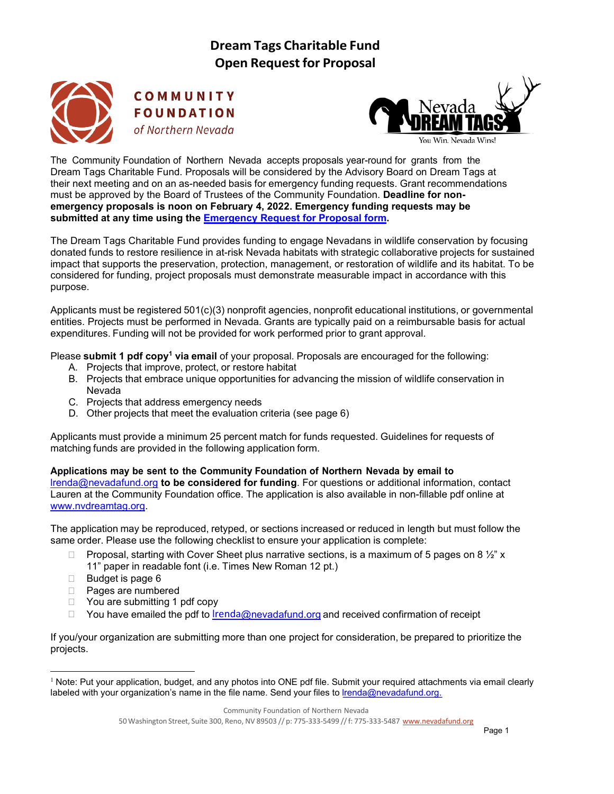

COMMUNITY **FOUNDATION** of Northern Nevada



The Community Foundation of Northern Nevada accepts proposals year-round for grants from the Dream Tags Charitable Fund. Proposals will be considered by the Advisory Board on Dream Tags at their next meeting and on an as-needed basis for emergency funding requests. Grant recommendations must be approved by the Board of Trustees of the Community Foundation. **Deadline for nonemergency proposals is noon on February 4, 2022. Emergency funding requests may be submitted at any time using the [Emergency](https://nvdreamtag.org/wp-content/uploads/2021/06/Emergency_DreamTagsFund_RFP.pdf) Request for Proposal form.**

The Dream Tags Charitable Fund provides funding to engage Nevadans in wildlife conservation by focusing donated funds to restore resilience in at-risk Nevada habitats with strategic collaborative projects for sustained impact that supports the preservation, protection, management, or restoration of wildlife and its habitat. To be considered for funding, project proposals must demonstrate measurable impact in accordance with this purpose.

Applicants must be registered 501(c)(3) nonprofit agencies, nonprofit educational institutions, or governmental entities. Projects must be performed in Nevada. Grants are typically paid on a reimbursable basis for actual expenditures. Funding will not be provided for work performed prior to grant approval.

Please **submit 1 pdf copy1 via email** of your proposal. Proposals are encouraged for the following:

- A. Projects that improve, protect, or restore habitat
- B. Projects that embrace unique opportunities for advancing the mission of wildlife conservation in Nevada
- C. Projects that address emergency needs
- D. Other projects that meet the evaluation criteria (see page 6)

Applicants must provide a minimum 25 percent match for funds requested. Guidelines for requests of matching funds are provided in the following application form.

**Applications may be sent to the Community Foundation of Northern Nevada by email to** [lrenda@nevadafund.org](mailto:lrenda@nevadafund.org) **to be considered for funding**. For questions or additional information, contact Lauren at the Community Foundation office. The application is also available in non-fillable pdf online at [www.nvdreamtag.org.](http://www.nvdreamtag.org/)

The application may be reproduced, retyped, or sections increased or reduced in length but must follow the same order. Please use the following checklist to ensure your application is complete:

- **Proposal, starting with Cover Sheet plus narrative sections, is a maximum of 5 pages on 8**  $\frac{1}{2}$ **" x** 11" paper in readable font (i.e. Times New Roman 12 pt.)
- $\Box$  Budget is page 6
- Pages are numbered
- □ You are submitting 1 pdf copy
- $\Box$  You have emailed the pdf to lrenda[@nevadafund.org](mailto:lrenda@nevadafund.org) and received confirmation of receipt

If you/your organization are submitting more than one project for consideration, be prepared to prioritize the projects.

 $1$  Note: Put your application, budget, and any photos into ONE pdf file. Submit your required attachments via email clearly labeled with your organization's name in the file name. Send your files to [lrenda@nevadafund.org.](mailto:lrenda@nevadafund.org)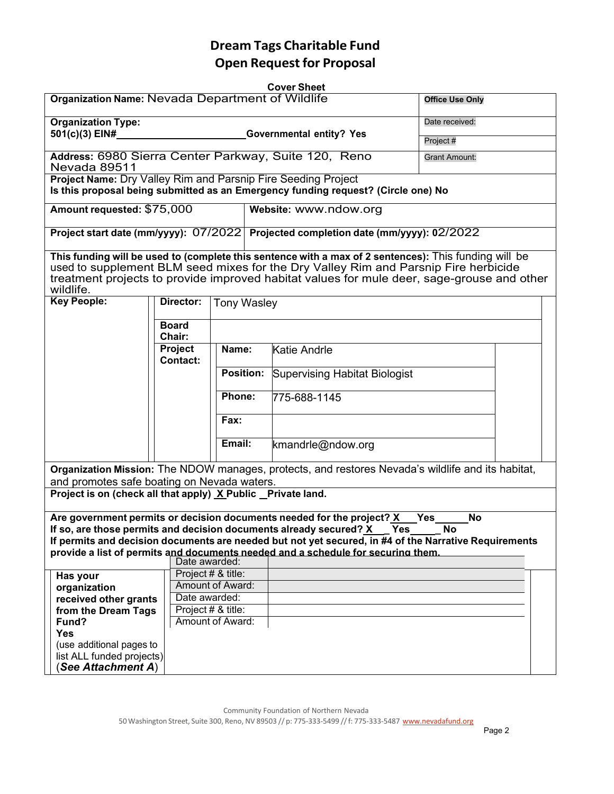|                                                                                                                                                                                                                                                                                                         |                        |                        |                    | <b>Cover Sheet</b>                                                                                    |           |  |  |  |  |  |
|---------------------------------------------------------------------------------------------------------------------------------------------------------------------------------------------------------------------------------------------------------------------------------------------------------|------------------------|------------------------|--------------------|-------------------------------------------------------------------------------------------------------|-----------|--|--|--|--|--|
| Organization Name: Nevada Department of Wildlife                                                                                                                                                                                                                                                        | <b>Office Use Only</b> |                        |                    |                                                                                                       |           |  |  |  |  |  |
| <b>Organization Type:</b>                                                                                                                                                                                                                                                                               | Date received:         |                        |                    |                                                                                                       |           |  |  |  |  |  |
| 501(c)(3) EIN#                                                                                                                                                                                                                                                                                          | Project #              |                        |                    |                                                                                                       |           |  |  |  |  |  |
|                                                                                                                                                                                                                                                                                                         |                        |                        |                    |                                                                                                       |           |  |  |  |  |  |
| Address: 6980 Sierra Center Parkway, Suite 120, Reno<br><b>Grant Amount:</b><br>Nevada 89511                                                                                                                                                                                                            |                        |                        |                    |                                                                                                       |           |  |  |  |  |  |
| Project Name: Dry Valley Rim and Parsnip Fire Seeding Project                                                                                                                                                                                                                                           |                        |                        |                    |                                                                                                       |           |  |  |  |  |  |
| Is this proposal being submitted as an Emergency funding request? (Circle one) No                                                                                                                                                                                                                       |                        |                        |                    |                                                                                                       |           |  |  |  |  |  |
| Amount requested: \$75,000                                                                                                                                                                                                                                                                              |                        |                        |                    | Website: www.ndow.org                                                                                 |           |  |  |  |  |  |
|                                                                                                                                                                                                                                                                                                         |                        |                        |                    | Project start date (mm/yyyy): 07/2022 Projected completion date (mm/yyyy): 02/2022                    |           |  |  |  |  |  |
| This funding will be used to (complete this sentence with a max of 2 sentences): This funding will be<br>used to supplement BLM seed mixes for the Dry Valley Rim and Parsnip Fire herbicide<br>treatment projects to provide improved habitat values for mule deer, sage-grouse and other<br>wildlife. |                        |                        |                    |                                                                                                       |           |  |  |  |  |  |
| <b>Key People:</b>                                                                                                                                                                                                                                                                                      |                        | Director:              | <b>Tony Wasley</b> |                                                                                                       |           |  |  |  |  |  |
|                                                                                                                                                                                                                                                                                                         |                        |                        |                    |                                                                                                       |           |  |  |  |  |  |
|                                                                                                                                                                                                                                                                                                         |                        | <b>Board</b><br>Chair: |                    |                                                                                                       |           |  |  |  |  |  |
|                                                                                                                                                                                                                                                                                                         |                        | <b>Project</b>         | Name:              | <b>Katie Andrle</b>                                                                                   |           |  |  |  |  |  |
|                                                                                                                                                                                                                                                                                                         |                        | Contact:               |                    |                                                                                                       |           |  |  |  |  |  |
|                                                                                                                                                                                                                                                                                                         |                        |                        | <b>Position:</b>   | Supervising Habitat Biologist                                                                         |           |  |  |  |  |  |
|                                                                                                                                                                                                                                                                                                         |                        |                        |                    |                                                                                                       |           |  |  |  |  |  |
|                                                                                                                                                                                                                                                                                                         |                        |                        | Phone:             | 775-688-1145                                                                                          |           |  |  |  |  |  |
|                                                                                                                                                                                                                                                                                                         |                        |                        |                    |                                                                                                       |           |  |  |  |  |  |
|                                                                                                                                                                                                                                                                                                         |                        |                        | Fax:               |                                                                                                       |           |  |  |  |  |  |
|                                                                                                                                                                                                                                                                                                         |                        |                        |                    |                                                                                                       |           |  |  |  |  |  |
|                                                                                                                                                                                                                                                                                                         |                        |                        | Email:             | kmandrle@ndow.org                                                                                     |           |  |  |  |  |  |
|                                                                                                                                                                                                                                                                                                         |                        |                        |                    |                                                                                                       |           |  |  |  |  |  |
|                                                                                                                                                                                                                                                                                                         |                        |                        |                    | Organization Mission: The NDOW manages, protects, and restores Nevada's wildlife and its habitat,     |           |  |  |  |  |  |
| and promotes safe boating on Nevada waters.                                                                                                                                                                                                                                                             |                        |                        |                    |                                                                                                       |           |  |  |  |  |  |
| Project is on (check all that apply) X Public Private land.                                                                                                                                                                                                                                             |                        |                        |                    |                                                                                                       |           |  |  |  |  |  |
|                                                                                                                                                                                                                                                                                                         |                        |                        |                    | Are government permits or decision documents needed for the project? X                                | No<br>Yes |  |  |  |  |  |
|                                                                                                                                                                                                                                                                                                         |                        |                        |                    | If so, are those permits and decision documents already secured? $X$ Yes $\_\_\_$ No                  |           |  |  |  |  |  |
|                                                                                                                                                                                                                                                                                                         |                        |                        |                    | If permits and decision documents are needed but not yet secured, in #4 of the Narrative Requirements |           |  |  |  |  |  |
|                                                                                                                                                                                                                                                                                                         |                        | Date awarded:          |                    | provide a list of permits and documents needed and a schedule for securing them.                      |           |  |  |  |  |  |
| Has your                                                                                                                                                                                                                                                                                                |                        | Project # & title:     |                    |                                                                                                       |           |  |  |  |  |  |
| organization                                                                                                                                                                                                                                                                                            |                        | Amount of Award:       |                    |                                                                                                       |           |  |  |  |  |  |
| received other grants                                                                                                                                                                                                                                                                                   |                        | Date awarded:          |                    |                                                                                                       |           |  |  |  |  |  |
| from the Dream Tags                                                                                                                                                                                                                                                                                     |                        | Project # & title:     |                    |                                                                                                       |           |  |  |  |  |  |
| Fund?                                                                                                                                                                                                                                                                                                   |                        | Amount of Award:       |                    |                                                                                                       |           |  |  |  |  |  |
| <b>Yes</b>                                                                                                                                                                                                                                                                                              |                        |                        |                    |                                                                                                       |           |  |  |  |  |  |
| (use additional pages to                                                                                                                                                                                                                                                                                |                        |                        |                    |                                                                                                       |           |  |  |  |  |  |
| list ALL funded projects)                                                                                                                                                                                                                                                                               |                        |                        |                    |                                                                                                       |           |  |  |  |  |  |
| (See Attachment A)                                                                                                                                                                                                                                                                                      |                        |                        |                    |                                                                                                       |           |  |  |  |  |  |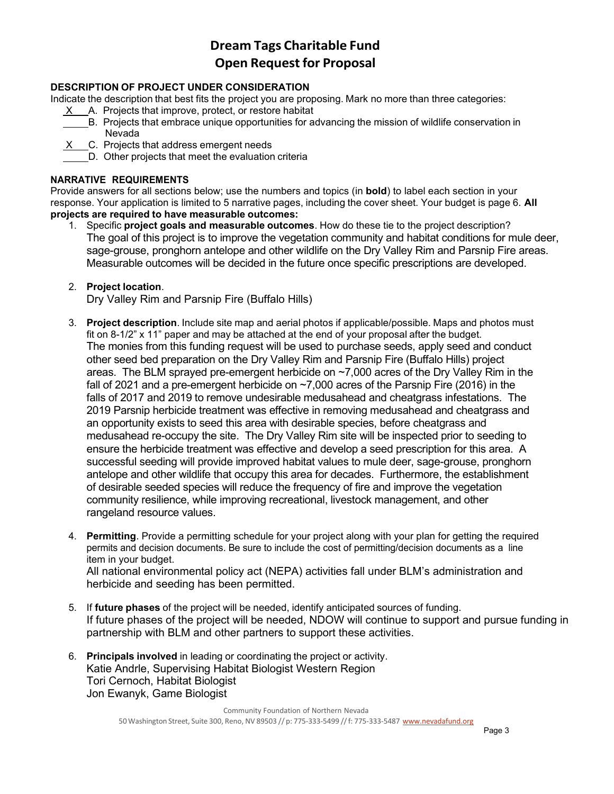### **DESCRIPTION OF PROJECT UNDER CONSIDERATION**

Indicate the description that best fits the project you are proposing. Mark no more than three categories:

- X A. Projects that improve, protect, or restore habitat
- B. Projects that embrace unique opportunities for advancing the mission of wildlife conservation in Nevada
- X C. Projects that address emergent needs
- D. Other projects that meet the evaluation criteria

### **NARRATIVE REQUIREMENTS**

Provide answers for all sections below; use the numbers and topics (in **bold**) to label each section in your response. Your application is limited to 5 narrative pages, including the cover sheet. Your budget is page 6. **All projects are required to have measurable outcomes:**

- 1. Specific **project goals and measurable outcomes**. How do these tie to the project description? The goal of this project is to improve the vegetation community and habitat conditions for mule deer, sage-grouse, pronghorn antelope and other wildlife on the Dry Valley Rim and Parsnip Fire areas. Measurable outcomes will be decided in the future once specific prescriptions are developed.
- 2. **Project location**.

Dry Valley Rim and Parsnip Fire (Buffalo Hills)

- 3. **Project description**. Include site map and aerial photos if applicable/possible. Maps and photos must fit on 8-1/2" x 11" paper and may be attached at the end of your proposal after the budget. The monies from this funding request will be used to purchase seeds, apply seed and conduct other seed bed preparation on the Dry Valley Rim and Parsnip Fire (Buffalo Hills) project areas. The BLM sprayed pre-emergent herbicide on ~7,000 acres of the Dry Valley Rim in the fall of 2021 and a pre-emergent herbicide on ~7,000 acres of the Parsnip Fire (2016) in the falls of 2017 and 2019 to remove undesirable medusahead and cheatgrass infestations. The 2019 Parsnip herbicide treatment was effective in removing medusahead and cheatgrass and an opportunity exists to seed this area with desirable species, before cheatgrass and medusahead re-occupy the site. The Dry Valley Rim site will be inspected prior to seeding to ensure the herbicide treatment was effective and develop a seed prescription for this area. A successful seeding will provide improved habitat values to mule deer, sage-grouse, pronghorn antelope and other wildlife that occupy this area for decades. Furthermore, the establishment of desirable seeded species will reduce the frequency of fire and improve the vegetation community resilience, while improving recreational, livestock management, and other rangeland resource values.
- 4. **Permitting**. Provide a permitting schedule for your project along with your plan for getting the required permits and decision documents. Be sure to include the cost of permitting/decision documents as a line item in your budget.

All national environmental policy act (NEPA) activities fall under BLM's administration and herbicide and seeding has been permitted.

- 5. If **future phases** of the project will be needed, identify anticipated sources of funding. If future phases of the project will be needed, NDOW will continue to support and pursue funding in partnership with BLM and other partners to support these activities.
- 6. **Principals involved** in leading or coordinating the project or activity. Katie Andrle, Supervising Habitat Biologist Western Region Tori Cernoch, Habitat Biologist Jon Ewanyk, Game Biologist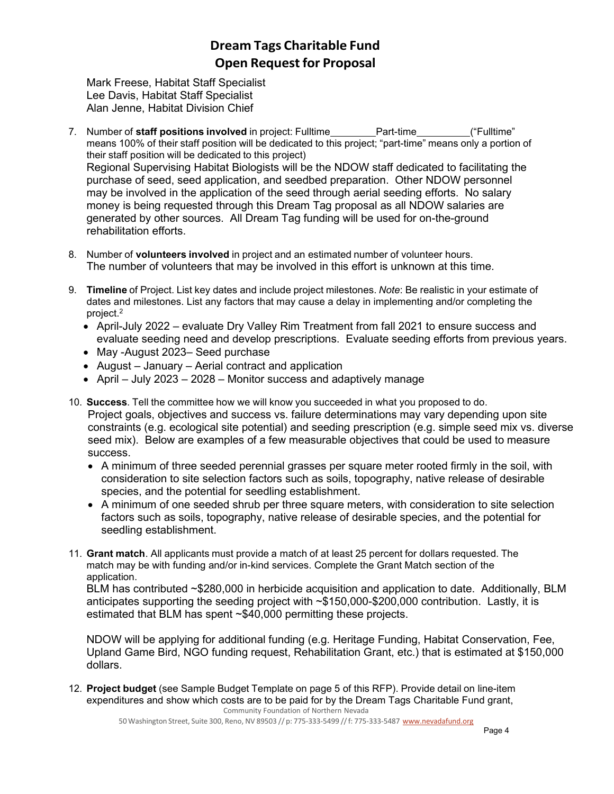Mark Freese, Habitat Staff Specialist Lee Davis, Habitat Staff Specialist Alan Jenne, Habitat Division Chief

- 7. Number of **staff positions involved** in project: Fulltime Part-time ("Fulltime" means 100% of their staff position will be dedicated to this project; "part-time" means only a portion of their staff position will be dedicated to this project) Regional Supervising Habitat Biologists will be the NDOW staff dedicated to facilitating the purchase of seed, seed application, and seedbed preparation. Other NDOW personnel may be involved in the application of the seed through aerial seeding efforts. No salary money is being requested through this Dream Tag proposal as all NDOW salaries are generated by other sources. All Dream Tag funding will be used for on-the-ground rehabilitation efforts.
- 8. Number of **volunteers involved** in project and an estimated number of volunteer hours. The number of volunteers that may be involved in this effort is unknown at this time.
- 9. **Timeline** of Project. List key dates and include project milestones. *Note*: Be realistic in your estimate of dates and milestones. List any factors that may cause a delay in implementing and/or completing the project.2
	- April-July 2022 evaluate Dry Valley Rim Treatment from fall 2021 to ensure success and evaluate seeding need and develop prescriptions. Evaluate seeding efforts from previous years.
	- May -August 2023– Seed purchase
	- August January Aerial contract and application
	- April July 2023 2028 Monitor success and adaptively manage
- 10. **Success**. Tell the committee how we will know you succeeded in what you proposed to do. Project goals, objectives and success vs. failure determinations may vary depending upon site constraints (e.g. ecological site potential) and seeding prescription (e.g. simple seed mix vs. diverse seed mix). Below are examples of a few measurable objectives that could be used to measure success.
	- A minimum of three seeded perennial grasses per square meter rooted firmly in the soil, with consideration to site selection factors such as soils, topography, native release of desirable species, and the potential for seedling establishment.
	- A minimum of one seeded shrub per three square meters, with consideration to site selection factors such as soils, topography, native release of desirable species, and the potential for seedling establishment.
- 11. **Grant match**. All applicants must provide a match of at least 25 percent for dollars requested. The match may be with funding and/or in-kind services. Complete the Grant Match section of the application.

BLM has contributed ~\$280,000 in herbicide acquisition and application to date. Additionally, BLM anticipates supporting the seeding project with ~\$150,000-\$200,000 contribution. Lastly, it is estimated that BLM has spent ~\$40,000 permitting these projects.

NDOW will be applying for additional funding (e.g. Heritage Funding, Habitat Conservation, Fee, Upland Game Bird, NGO funding request, Rehabilitation Grant, etc.) that is estimated at \$150,000 dollars.

Community Foundation of Northern Nevada 12. **Project budget** (see Sample Budget Template on page 5 of this RFP). Provide detail on line-item expenditures and show which costs are to be paid for by the Dream Tags Charitable Fund grant,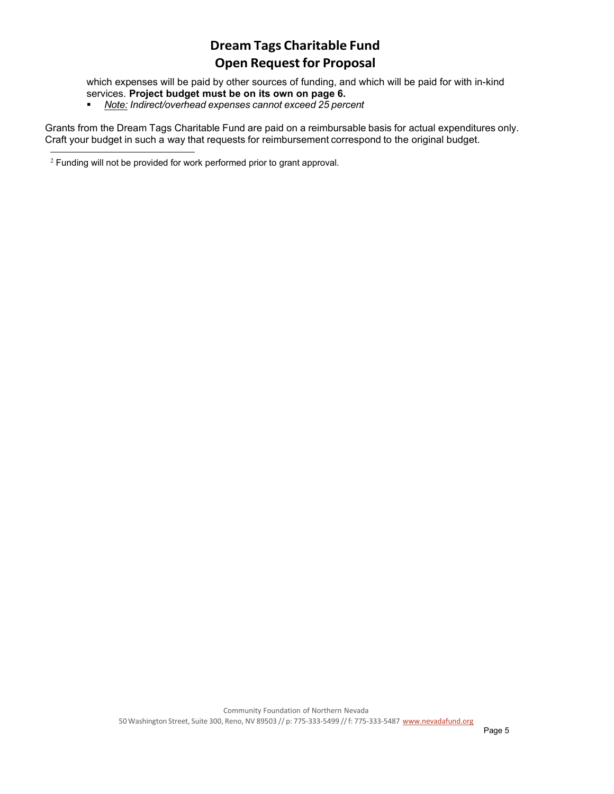which expenses will be paid by other sources of funding, and which will be paid for with in-kind services. **Project budget must be on its own on page 6.**

*Note: Indirect/overhead expenses cannot exceed 25 percent*

Grants from the Dream Tags Charitable Fund are paid on a reimbursable basis for actual expenditures only. Craft your budget in such a way that requests for reimbursement correspond to the original budget.

<sup>2</sup> Funding will not be provided for work performed prior to grant approval.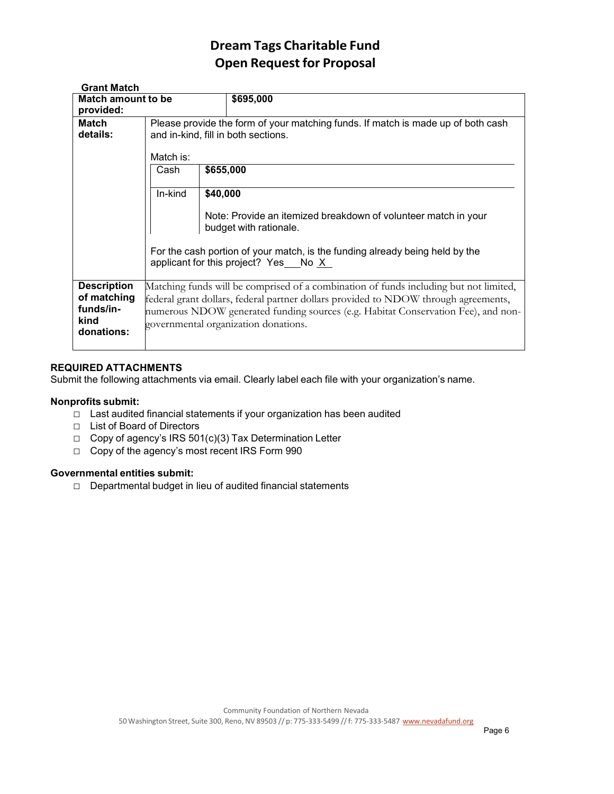| <b>Grant Match</b>                                                   |                                                                                                                                                                                                                                                                                                           |           |                                                                                          |  |  |  |  |
|----------------------------------------------------------------------|-----------------------------------------------------------------------------------------------------------------------------------------------------------------------------------------------------------------------------------------------------------------------------------------------------------|-----------|------------------------------------------------------------------------------------------|--|--|--|--|
| Match amount to be                                                   |                                                                                                                                                                                                                                                                                                           |           | \$695,000                                                                                |  |  |  |  |
| provided:                                                            |                                                                                                                                                                                                                                                                                                           |           |                                                                                          |  |  |  |  |
| <b>Match</b>                                                         | Please provide the form of your matching funds. If match is made up of both cash                                                                                                                                                                                                                          |           |                                                                                          |  |  |  |  |
| details:                                                             | and in-kind, fill in both sections.                                                                                                                                                                                                                                                                       |           |                                                                                          |  |  |  |  |
|                                                                      | Match is:                                                                                                                                                                                                                                                                                                 |           |                                                                                          |  |  |  |  |
|                                                                      | Cash                                                                                                                                                                                                                                                                                                      | \$655,000 |                                                                                          |  |  |  |  |
|                                                                      | In-kind                                                                                                                                                                                                                                                                                                   | \$40,000  |                                                                                          |  |  |  |  |
|                                                                      |                                                                                                                                                                                                                                                                                                           |           | Note: Provide an itemized breakdown of volunteer match in your<br>budget with rationale. |  |  |  |  |
|                                                                      | For the cash portion of your match, is the funding already being held by the<br>applicant for this project? Yes No X                                                                                                                                                                                      |           |                                                                                          |  |  |  |  |
| <b>Description</b><br>of matching<br>funds/in-<br>kind<br>donations: | Matching funds will be comprised of a combination of funds including but not limited,<br>federal grant dollars, federal partner dollars provided to NDOW through agreements,<br>numerous NDOW generated funding sources (e.g. Habitat Conservation Fee), and non-<br>governmental organization donations. |           |                                                                                          |  |  |  |  |

### **REQUIRED ATTACHMENTS**

Submit the following attachments via email. Clearly label each file with your organization's name.

### **Nonprofits submit:**

- □ Last audited financial statements if your organization has been audited
- □ List of Board of Directors
- □ Copy of agency's IRS 501(c)(3) Tax Determination Letter
- □ Copy of the agency's most recent IRS Form 990

### **Governmental entities submit:**

□ Departmental budget in lieu of audited financial statements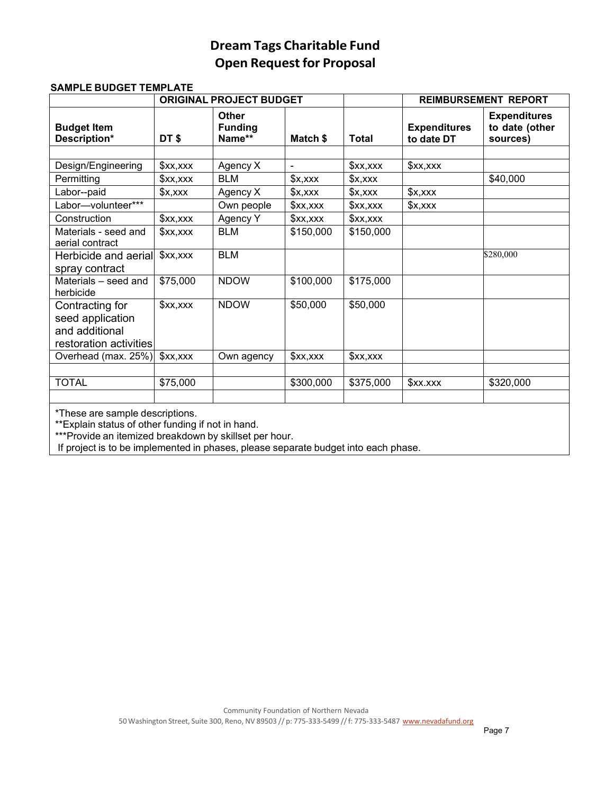|                                                                                 |                 | <b>ORIGINAL PROJECT BUDGET</b>           |                 |                 | <b>REIMBURSEMENT REPORT</b>       |                                                   |  |
|---------------------------------------------------------------------------------|-----------------|------------------------------------------|-----------------|-----------------|-----------------------------------|---------------------------------------------------|--|
| <b>Budget Item</b><br>Description*                                              | DT\$            | <b>Other</b><br><b>Funding</b><br>Name** | Match \$        | <b>Total</b>    | <b>Expenditures</b><br>to date DT | <b>Expenditures</b><br>to date (other<br>sources) |  |
|                                                                                 |                 |                                          |                 |                 |                                   |                                                   |  |
| Design/Engineering                                                              | x, x            | Agency X                                 | $\blacksquare$  | x, x            | x, x                              |                                                   |  |
| Permitting                                                                      | x, x            | <b>BLM</b>                               | x,xxx           | $x, x \times x$ |                                   | \$40,000                                          |  |
| Labor--paid                                                                     | $x, x \times x$ | Agency X                                 | $x, x \times x$ | $x, x \times x$ | x,xxx                             |                                                   |  |
| Labor-volunteer***                                                              |                 | Own people                               | x, x            | x, x            | x,xxx                             |                                                   |  |
| Construction                                                                    | x, x            | Agency Y                                 | xx,             | x, x            |                                   |                                                   |  |
| Materials - seed and<br>aerial contract                                         | x, x            | <b>BLM</b>                               | \$150,000       | \$150,000       |                                   |                                                   |  |
| Herbicide and aerial<br>spray contract                                          | x, x            | <b>BLM</b>                               |                 |                 |                                   | \$280,000                                         |  |
| Materials - seed and<br>herbicide                                               | \$75,000        | <b>NDOW</b>                              | \$100,000       | \$175,000       |                                   |                                                   |  |
| Contracting for<br>seed application<br>and additional<br>restoration activities | x, x            | <b>NDOW</b>                              | \$50,000        | \$50,000        |                                   |                                                   |  |
| Overhead (max. 25%)                                                             | x, x            | Own agency                               | x, x            | x, x            |                                   |                                                   |  |
|                                                                                 |                 |                                          |                 |                 |                                   |                                                   |  |
| <b>TOTAL</b>                                                                    | \$75,000        |                                          | \$300,000       | \$375,000       | \$xx.xxx                          | \$320,000                                         |  |
| *These are comple descriptions                                                  |                 |                                          |                 |                 |                                   |                                                   |  |

#### **SAMPLE BUDGET TEMPLATE**

These are sample descriptions.

\*\*Explain status of other funding if not in hand.

\*\*\*Provide an itemized breakdown by skillset per hour.

If project is to be implemented in phases, please separate budget into each phase.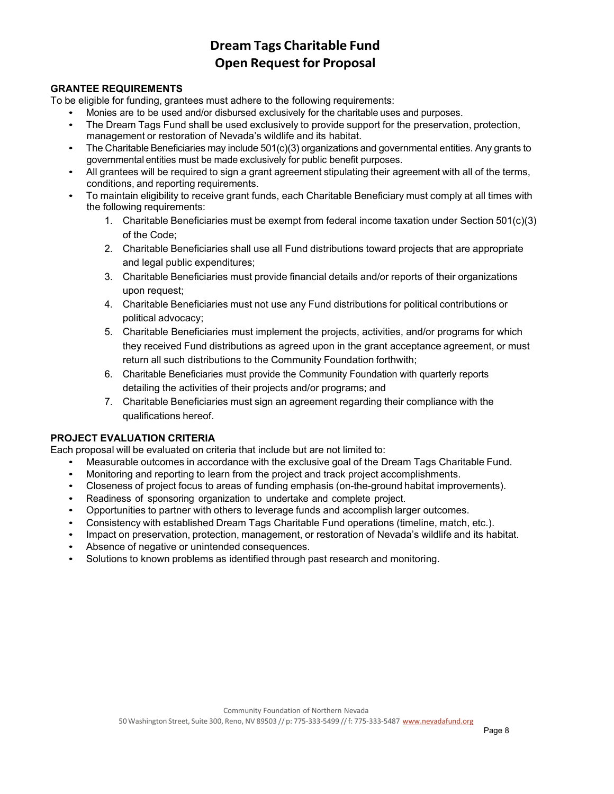### **GRANTEE REQUIREMENTS**

To be eligible for funding, grantees must adhere to the following requirements:

- Monies are to be used and/or disbursed exclusively for the charitable uses and purposes.
- The Dream Tags Fund shall be used exclusively to provide support for the preservation, protection, management or restoration of Nevada's wildlife and its habitat.
- The Charitable Beneficiaries may include 501(c)(3) organizations and governmental entities. Any grants to governmental entities must be made exclusively for public benefit purposes.
- All grantees will be required to sign a grant agreement stipulating their agreement with all of the terms, conditions, and reporting requirements.
- To maintain eligibility to receive grant funds, each Charitable Beneficiary must comply at all times with the following requirements:
	- 1. Charitable Beneficiaries must be exempt from federal income taxation under Section 501(c)(3) of the Code;
	- 2. Charitable Beneficiaries shall use all Fund distributions toward projects that are appropriate and legal public expenditures;
	- 3. Charitable Beneficiaries must provide financial details and/or reports of their organizations upon request;
	- 4. Charitable Beneficiaries must not use any Fund distributions for political contributions or political advocacy;
	- 5. Charitable Beneficiaries must implement the projects, activities, and/or programs for which they received Fund distributions as agreed upon in the grant acceptance agreement, or must return all such distributions to the Community Foundation forthwith;
	- 6. Charitable Beneficiaries must provide the Community Foundation with quarterly reports detailing the activities of their projects and/or programs; and
	- 7. Charitable Beneficiaries must sign an agreement regarding their compliance with the qualifications hereof.

### **PROJECT EVALUATION CRITERIA**

Each proposal will be evaluated on criteria that include but are not limited to:

- Measurable outcomes in accordance with the exclusive goal of the Dream Tags Charitable Fund.
- Monitoring and reporting to learn from the project and track project accomplishments.
- Closeness of project focus to areas of funding emphasis (on-the-ground habitat improvements).
- Readiness of sponsoring organization to undertake and complete project.
- Opportunities to partner with others to leverage funds and accomplish larger outcomes.
- Consistency with established Dream Tags Charitable Fund operations (timeline, match, etc.).
- Impact on preservation, protection, management, or restoration of Nevada's wildlife and its habitat.
- Absence of negative or unintended consequences.
- Solutions to known problems as identified through past research and monitoring.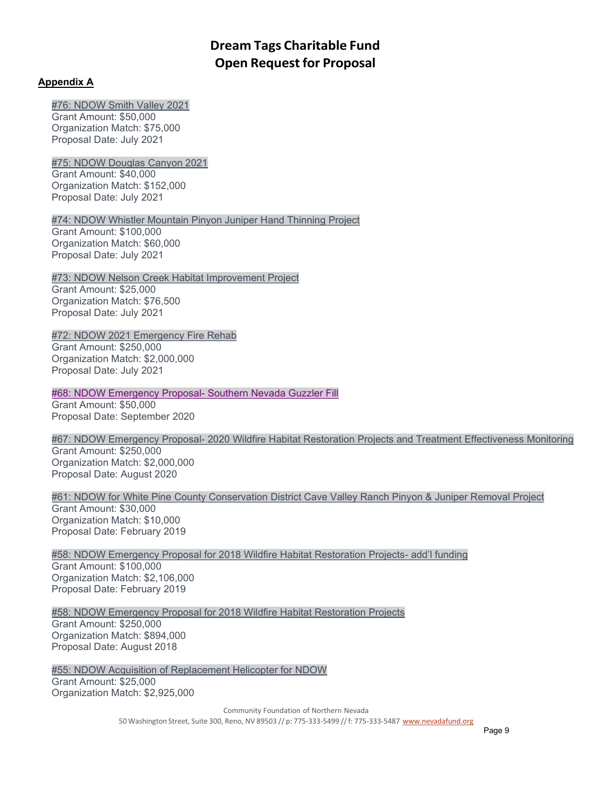### **A[ppendix A](https://nvdreamtag.org/wp-content/uploads/2021/09/76-NDOW-Smith-Valley-Fall-2021.pdf)**

[#76: NDOW Smith Valley 2021](https://nvdreamtag.org/wp-content/uploads/2021/09/76-NDOW-Smith-Valley-Fall-2021.pdf) Grant Amount: \$50,000

Organization Match: \$75,000 Proposal Date: July 2021

[#75: NDOW Douglas Canyon 2021](https://nvdreamtag.org/wp-content/uploads/2021/09/75-NDOW-Douglas-Fall-2021.pdf) Grant Amount: \$40,000 Organization Match: \$152,000 Proposal Date: July 2021

[#74: NDOW Whistler Mountain Pinyon Juniper Hand Thinning Project](https://nvdreamtag.org/wp-content/uploads/2021/09/74-NDOW-Whistler-Mountain-Fall-2021.pdf) Grant Amount: \$100,000 Organization Match: \$60,000 Proposal Date: July 2021

[#73: NDOW Nelson Creek Habitat Improvement Project](https://nvdreamtag.org/wp-content/uploads/2021/09/73-NDOW-Nelson-Creek-Fall-2021.pdf) Grant Amount: \$25,000 Organization Match: \$76,500 Proposal Date: July 2021

[#72: NDOW 2021 Emergency Fire Rehab](https://nvdreamtag.org/wp-content/uploads/2021/09/72-NDOW-Emergency-Fire-Rehab-Fall-2021.pdf) Grant Amount: \$250,000 Organization Match: \$2,000,000 [Proposal Date: July 2021](https://nvdreamtag.org/wp-content/uploads/2021/06/68-NDOW-Emergency-Proposal-Southern-NV-Guzzler-Fill.pdf)

[#68: NDOW Emergency Proposal-](https://nvdreamtag.org/wp-content/uploads/2021/06/68-NDOW-Emergency-Proposal-Southern-NV-Guzzler-Fill.pdf) Southern Nevada Guzzler Fill

Grant Amount: \$50,000 Proposal Date: September 2020

#67: NDOW Emergency Proposal- [2020 Wildfire Habitat Restoration Projects and Treatment Effectiveness Monitoring](https://nvdreamtag.org/wp-content/uploads/2021/06/67-NDOW-Emergency-Fire-Rehab-Proposal.pdf) Grant Amount: \$250,000 Organization Match: \$2,000,000 [Proposal Date: August 2020](https://nvdreamtag.org/wp-content/uploads/2020/01/60-Carson-City-Spring-2019.pdf)

[#61: NDOW for White Pine County Conservation District Cave Valley Ranch Pinyon & Juniper Removal Project](https://nvdreamtag.org/wp-content/uploads/2020/01/60-Carson-City-Spring-2019.pdf) Grant Amount: \$30,000 Organization Match: \$10,000 [Proposal Date: February 2019](https://nvdreamtag.org/wp-content/uploads/2020/01/58-NDOW-Emergency-Fire-Rehab-addl-funding-2.13.19.pdf)

[#58: NDOW Emergency Proposal for 2018 Wildfire Habitat Restoration Projects-](https://nvdreamtag.org/wp-content/uploads/2020/01/58-NDOW-Emergency-Fire-Rehab-addl-funding-2.13.19.pdf) add'l funding Grant Amount: \$100,000 Organization Match: \$2,106,000 Proposal Date: February 2019

[#58: NDOW Emergency Proposal for 2018 Wildfire Habitat Restoration Projects](https://nvdreamtag.org/wp-content/uploads/2019/01/58-NDOW-Emergency-Proposal-8.10.18.pdf) Grant Amount: \$250,000 Organization Match: \$894,000 Proposal Date: August 2018

[#55: NDOW Acquisition of Replacement Helicopter for NDOW](https://nvdreamtag.org/wp-content/uploads/2019/01/55-NDOW-proposal-to-IFC-6.7.18.pdf) Grant Amount: \$25,000 Organization Match: \$2,925,000

> Community Foundation of Northern Nevada 50 Washington Street, Suite 300, Reno, NV 89503 // p: 775-333-5499 // f: 775-333-5487 [www.nevadafund.org](http://www.nevadafund.org/)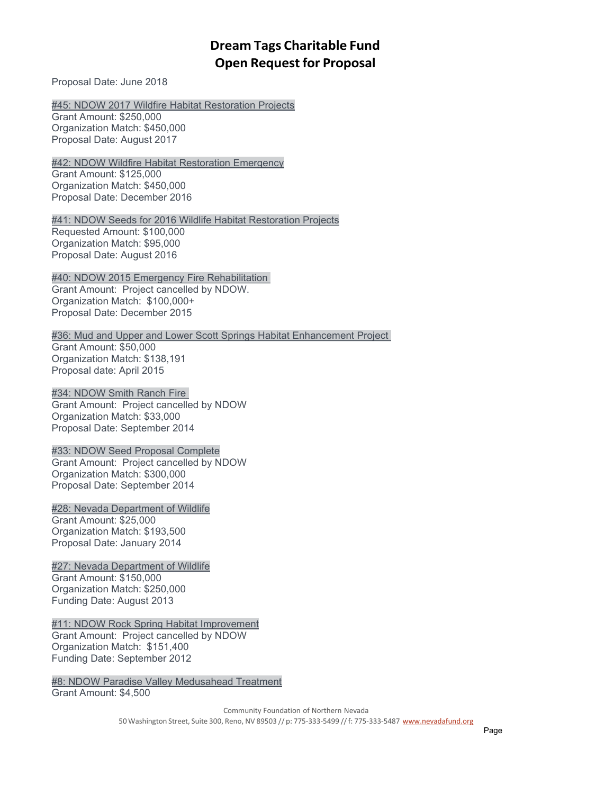[Proposal Date: June 2018](https://nvdreamtag.org/wp-content/uploads/2018/02/45-NDOW-2017-wildfire-habitat-restoration-projects.pdf)

[#45: NDOW 2017 Wildfire Habitat Restoration Projects](https://nvdreamtag.org/wp-content/uploads/2018/02/45-NDOW-2017-wildfire-habitat-restoration-projects.pdf)

Grant Amount: \$250,000 Organization Match: \$450,000 [Proposal Date: August 2017](https://nvdreamtag.org/wp-content/uploads/2016/12/42-NDOW-Wildfire-Habitat-Restoration-Emergency-Project.pdf)

[#42: NDOW Wildfire Habitat Restoration Emergency](https://nvdreamtag.org/wp-content/uploads/2016/12/42-NDOW-Wildfire-Habitat-Restoration-Emergency-Project.pdf) Grant Amount: \$125,000 Organization Match: \$450,000 Proposal Date: December 2016

[#41: NDOW Seeds for 2016 Wildlife Habitat Restoration Projects](https://nvdreamtag.org/projects/41-ndow-seeds-for-2016-wildlife-habitat-restoration-projects/) Requested Amount: \$100,000 Organization Match: \$95,000 Proposal Date: August 2016

[#40: NDOW 2015 Emergency Fire Rehabilitation](https://nvdreamtag.org/wp-content/uploads/2015/12/40-NDOW-2015-Emergency-Fire-Rehabilitation-Proposal.pdf) Grant Amount: Project cancelled by NDOW. Organization Match: \$100,000+ Proposal Date: [December 2015](https://nvdreamtag.org/wp-content/uploads/2015/04/36-Mud-and-Upper-and-Lower-Scott-Springs-Habitat-Enhancement-Project-03122015.pdf)

[#36: Mud and Upper and Lower Scott Springs Habitat Enhancement Project](https://nvdreamtag.org/wp-content/uploads/2015/04/36-Mud-and-Upper-and-Lower-Scott-Springs-Habitat-Enhancement-Project-03122015.pdf) Grant Amount: \$50,000 Organization Match: \$138,191 [Proposal date: April 2015](https://nvdreamtag.org/wp-content/uploads/2014/09/34-NDOW_FY15_SMITH_RANCH_FIRE_2014_09_11.pdf)

[#34: NDOW Smith Ranch Fire](https://nvdreamtag.org/wp-content/uploads/2014/09/34-NDOW_FY15_SMITH_RANCH_FIRE_2014_09_11.pdf) Grant Amount: Project cancelled by NDOW Organization Match: \$33,000

Proposal Date: September 2014

[#33: NDOW Seed Proposal Complete](https://nvdreamtag.org/wp-content/uploads/2014/09/33-NDOW-Seed-Proposal-Complete.pdf) Grant Amount: Project cancelled by NDOW Organization Match: \$300,000 [Proposal Date: September 2014](https://nvdreamtag.org/wp-content/uploads/2014/02/28-NDOW-Spruce-Mountain-Restoration_rv_3_2014_01_27_6pages_with_maps.pdf)

[#28: Nevada Department of Wildlife](https://nvdreamtag.org/wp-content/uploads/2014/02/28-NDOW-Spruce-Mountain-Restoration_rv_3_2014_01_27_6pages_with_maps.pdf) Grant Amount: \$25,000 Organization Match: \$193,500 Proposal Date: January 2014

[#27: Nevada Department of Wildlife](https://nvdreamtag.org/wp-content/uploads/2013/08/27-NDOW-Fire-Seed.pdf) Grant Amount: \$150,000 Organization Match: \$250,000 [Funding Date: August 2013](https://nvdreamtag.org/wp-content/uploads/2012/09/11NDOWRockSpringHabitatImprovement.pdf)

[#11: NDOW Rock Spring Habitat Improvement](https://nvdreamtag.org/wp-content/uploads/2012/09/11NDOWRockSpringHabitatImprovement.pdf) Grant Amount: Project cancelled by NDOW Organization Match: \$151,400 Funding Date: September 2012

[#8: NDOW Paradise Valley Medusahead Treatment](https://nvdreamtag.org/wp-content/uploads/2012/09/8NDOWParadiseValleyMedusaheadTreatment.pdf) Grant Amount: \$4,500

> Community Foundation of Northern Nevada 50 Washington Street, Suite 300, Reno, NV 89503 // p: 775-333-5499 // f: 775-333-5487 [www.nevadafund.org](http://www.nevadafund.org/)